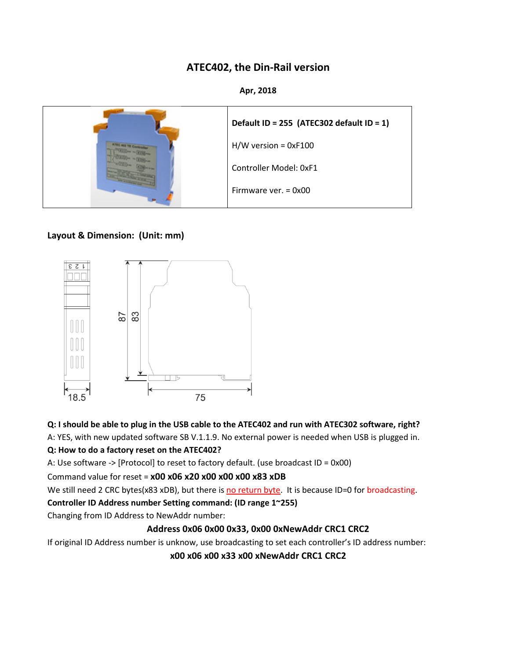# **ATEC402, the Din-Rail version**

#### **Apr, 2018**



#### **Layout & Dimension: (Unit: mm)**



#### **Q: I should be able to plug in the USB cable to the ATEC402 and run with ATEC302 software, right?**

A: YES, with new updated software SB V.1.1.9. No external power is needed when USB is plugged in.

#### **Q: How to do a factory reset on the ATEC402?**

A: Use software -> [Protocol] to reset to factory default. (use broadcast ID = 0x00)

Command value for reset = **x00 x06 x20 x00 x00 x00 x83 xDB**

We still need 2 CRC bytes(x83 xDB), but there is no return byte. It is because ID=0 for broadcasting.

#### **Controller ID Address number Setting command: (ID range 1~255)**

Changing from ID Address to NewAddr number:

## **Address 0x06 0x00 0x33, 0x00 0xNewAddr CRC1 CRC2**

If original ID Address number is unknow, use broadcasting to set each controller's ID address number:

**x00 x06 x00 x33 x00 xNewAddr CRC1 CRC2**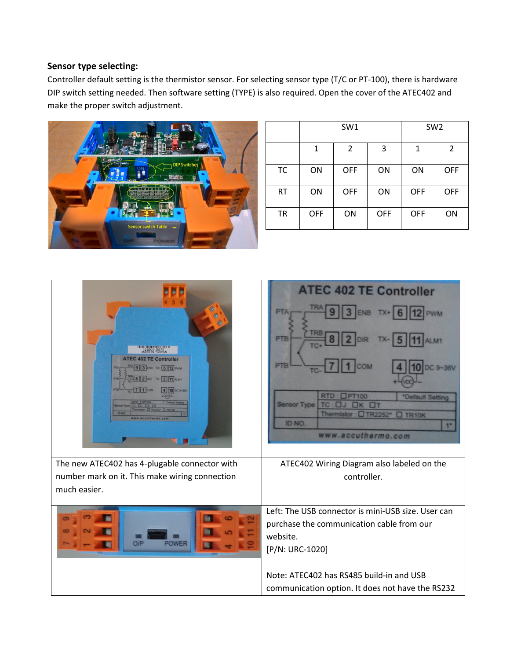#### **Sensor type selecting:**

Controller default setting is the thermistor sensor. For selecting sensor type (T/C or PT-100), there is hardware DIP switch setting needed. Then software setting (TYPE) is also required. Open the cover of the ATEC402 and make the proper switch adjustment.



|           | SW1        |                |            | SW <sub>2</sub> |            |
|-----------|------------|----------------|------------|-----------------|------------|
|           | 1          | $\overline{2}$ | 3          | 1               | 2          |
| <b>TC</b> | ON         | OFF            | ON         | ON              | OFF        |
| <b>RT</b> | ON         | OFF            | ON         | <b>OFF</b>      | <b>OFF</b> |
| <b>TR</b> | <b>OFF</b> | ON             | <b>OFF</b> | <b>OFF</b>      | ON         |